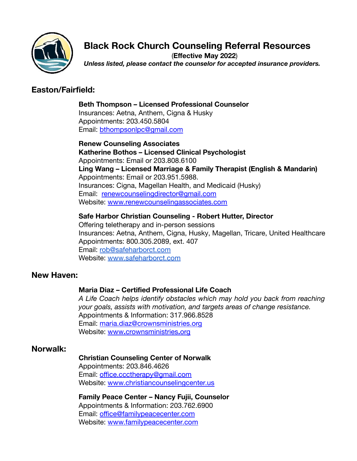

# **Black Rock Church Counseling Referral Resources**

(**Effective May 2022**) *Unless listed, please contact the counselor for accepted insurance providers.*

## **Easton/Fairfield:**

**Beth Thompson – Licensed Professional Counselor** Insurances: Aetna, Anthem, Cigna & Husky Appointments: 203.450.5804 Email: [bthompsonlpc@gmail.com](mailto:bthompsonlpc@gmail.com)

**Renew Counseling Associates Katherine Bothos – Licensed Clinical Psychologist** Appointments: Email or 203.808.6100 **Ling Wang – Licensed Marriage & Family Therapist (English & Mandarin)** Appointments: Email or 203.951.5988. Insurances: Cigna, Magellan Health, and Medicaid (Husky) Email: [renewcounselingdirector@gmail.com](mailto:renewcounselingdirector@gmail.com) Website: [www.renewcounselingassociates.com](http://www.renewcounselingassociates.com)

#### **Safe Harbor Christian Counseling - Robert Hutter, Director**

Offering teletherapy and in-person sessions Insurances: Aetna, Anthem, Cigna, Husky, Magellan, Tricare, United Healthcare Appointments: 800.305.2089, ext. 407 Email: [rob@safeharborct.com](mailto:rob@safeharborct.com) Website: [www.safeharborct.com](http://www.safeharborct.com)

### **New Haven:**

#### **Maria Diaz – Certified Professional Life Coach**

*A Life Coach helps identify obstacles which may hold you back from reaching your goals, assists with motivation, and targets areas of change resistance.* Appointments & Information: 317.966.8528 Email: [maria.diaz@crownsministries.org](mailto:maria.diaz@crownsministries.org) Website: www**.**[crownsministries](http://crownsministries.org/)**.**org

### **Norwalk:**

### **Christian Counseling Center of Norwalk**

Appointments: 203.846.4626 Email: [office.ccctherapy@gmail.com](mailto:office.ccctherapy@gmail.com) Website: [www.christiancounselingcenter.us](http://www.christiancounselingcenter.us)

**Family Peace Center – Nancy Fujii, Counselor** Appointments & Information: 203.762.6900 Email: [office@familypeacecenter.com](mailto:office@familypeacecenter.com) Website: [www.familypeacecenter.com](http://www.familypeacecenter.com/)